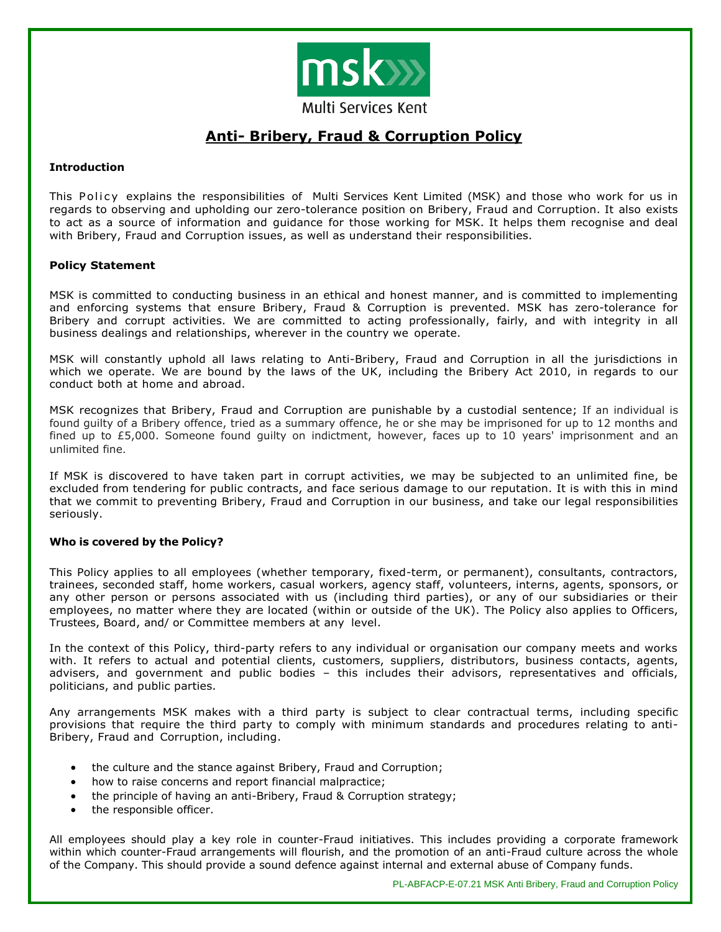

# **Anti- Bribery, Fraud & Corruption Policy**

# **Introduction**

This Policy explains the responsibilities of Multi Services Kent Limited (MSK) and those who work for us in regards to observing and upholding our zero-tolerance position on Bribery, Fraud and Corruption. It also exists to act as a source of information and guidance for those working for MSK. It helps them recognise and deal with Bribery, Fraud and Corruption issues, as well as understand their responsibilities.

# **Policy Statement**

MSK is committed to conducting business in an ethical and honest manner, and is committed to implementing and enforcing systems that ensure Bribery, Fraud & Corruption is prevented. MSK has zero-tolerance for Bribery and corrupt activities. We are committed to acting professionally, fairly, and with integrity in all business dealings and relationships, wherever in the country we operate.

MSK will constantly uphold all laws relating to Anti-Bribery, Fraud and Corruption in all the jurisdictions in which we operate. We are bound by the laws of the UK, including the Bribery Act 2010, in regards to our conduct both at home and abroad.

MSK recognizes that Bribery, Fraud and Corruption are punishable by a custodial sentence; If an individual is found guilty of a Bribery offence, tried as a summary offence, he or she may be imprisoned for up to 12 months and fined up to £5,000. Someone found guilty on indictment, however, faces up to 10 years' imprisonment and an unlimited fine.

If MSK is discovered to have taken part in corrupt activities, we may be subjected to an unlimited fine, be excluded from tendering for public contracts, and face serious damage to our reputation. It is with this in mind that we commit to preventing Bribery, Fraud and Corruption in our business, and take our legal responsibilities seriously.

# **Who is covered by the Policy?**

This Policy applies to all employees (whether temporary, fixed-term, or permanent), consultants, contractors, trainees, seconded staff, home workers, casual workers, agency staff, volunteers, interns, agents, sponsors, or any other person or persons associated with us (including third parties), or any of our subsidiaries or their employees, no matter where they are located (within or outside of the UK). The Policy also applies to Officers, Trustees, Board, and/ or Committee members at any level.

In the context of this Policy, third-party refers to any individual or organisation our company meets and works with. It refers to actual and potential clients, customers, suppliers, distributors, business contacts, agents, advisers, and government and public bodies – this includes their advisors, representatives and officials, politicians, and public parties.

Any arrangements MSK makes with a third party is subject to clear contractual terms, including specific provisions that require the third party to comply with minimum standards and procedures relating to anti-Bribery, Fraud and Corruption, including.

- the culture and the stance against Bribery, Fraud and Corruption;
- how to raise concerns and report financial malpractice;
- the principle of having an anti-Bribery, Fraud & Corruption strategy;
- the responsible officer.

All employees should play a key role in counter-Fraud initiatives. This includes providing a corporate framework within which counter-Fraud arrangements will flourish, and the promotion of an anti-Fraud culture across the whole of the Company. This should provide a sound defence against internal and external abuse of Company funds.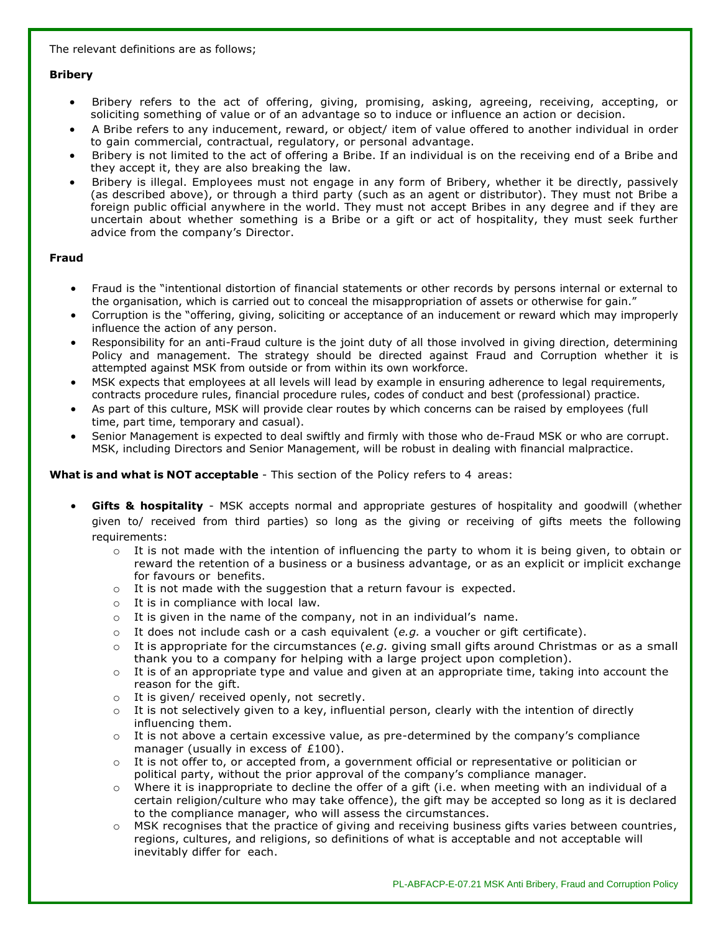The relevant definitions are as follows;

# **Bribery**

- Bribery refers to the act of offering, giving, promising, asking, agreeing, receiving, accepting, or soliciting something of value or of an advantage so to induce or influence an action or decision.
- A Bribe refers to any inducement, reward, or object/ item of value offered to another individual in order to gain commercial, contractual, regulatory, or personal advantage.
- Bribery is not limited to the act of offering a Bribe. If an individual is on the receiving end of a Bribe and they accept it, they are also breaking the law.
- Bribery is illegal. Employees must not engage in any form of Bribery, whether it be directly, passively (as described above), or through a third party (such as an agent or distributor). They must not Bribe a foreign public official anywhere in the world. They must not accept Bribes in any degree and if they are uncertain about whether something is a Bribe or a gift or act of hospitality, they must seek further advice from the company's Director.

# **Fraud**

- Fraud is the "intentional distortion of financial statements or other records by persons internal or external to the organisation, which is carried out to conceal the misappropriation of assets or otherwise for gain."
- Corruption is the "offering, giving, soliciting or acceptance of an inducement or reward which may improperly influence the action of any person.
- Responsibility for an anti-Fraud culture is the joint duty of all those involved in giving direction, determining Policy and management. The strategy should be directed against Fraud and Corruption whether it is attempted against MSK from outside or from within its own workforce.
- MSK expects that employees at all levels will lead by example in ensuring adherence to legal requirements, contracts procedure rules, financial procedure rules, codes of conduct and best (professional) practice.
- As part of this culture, MSK will provide clear routes by which concerns can be raised by employees (full time, part time, temporary and casual).
- Senior Management is expected to deal swiftly and firmly with those who de-Fraud MSK or who are corrupt. MSK, including Directors and Senior Management, will be robust in dealing with financial malpractice.

# **What is and what is NOT acceptable** - This section of the Policy refers to 4 areas:

- **Gifts & hospitality** MSK accepts normal and appropriate gestures of hospitality and goodwill (whether given to/ received from third parties) so long as the giving or receiving of gifts meets the following requirements:
	- $\circ$  It is not made with the intention of influencing the party to whom it is being given, to obtain or reward the retention of a business or a business advantage, or as an explicit or implicit exchange for favours or benefits.
	- o It is not made with the suggestion that a return favour is expected.
	- o It is in compliance with local law.
	- $\circ$  It is given in the name of the company, not in an individual's name.
	- $\circ$  It does not include cash or a cash equivalent (*e.g.* a voucher or gift certificate).
	- o It is appropriate for the circumstances (*e.g.* giving small gifts around Christmas or as a small thank you to a company for helping with a large project upon completion).
	- $\circ$  It is of an appropriate type and value and given at an appropriate time, taking into account the reason for the gift.
	- o It is given/ received openly, not secretly.
	- $\circ$  It is not selectively given to a key, influential person, clearly with the intention of directly influencing them.
	- $\circ$  It is not above a certain excessive value, as pre-determined by the company's compliance manager (usually in excess of £100).
	- $\circ$  It is not offer to, or accepted from, a government official or representative or politician or political party, without the prior approval of the company's compliance manager.
	- $\circ$  Where it is inappropriate to decline the offer of a gift (i.e. when meeting with an individual of a certain religion/culture who may take offence), the gift may be accepted so long as it is declared to the compliance manager, who will assess the circumstances.
	- MSK recognises that the practice of giving and receiving business gifts varies between countries, regions, cultures, and religions, so definitions of what is acceptable and not acceptable will inevitably differ for each.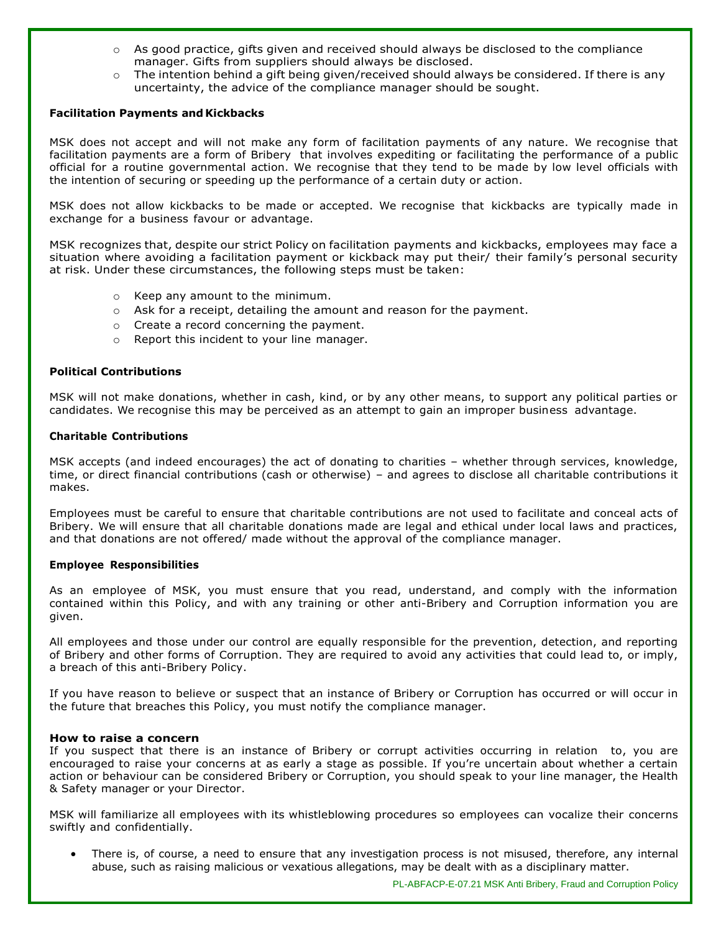- $\circ$  As good practice, gifts given and received should always be disclosed to the compliance manager. Gifts from suppliers should always be disclosed.
- $\circ$  The intention behind a gift being given/received should always be considered. If there is any uncertainty, the advice of the compliance manager should be sought.

# **Facilitation Payments and Kickbacks**

MSK does not accept and will not make any form of facilitation payments of any nature. We recognise that facilitation payments are a form of Bribery that involves expediting or facilitating the performance of a public official for a routine governmental action. We recognise that they tend to be made by low level officials with the intention of securing or speeding up the performance of a certain duty or action.

MSK does not allow kickbacks to be made or accepted. We recognise that kickbacks are typically made in exchange for a business favour or advantage.

MSK recognizes that, despite our strict Policy on facilitation payments and kickbacks, employees may face a situation where avoiding a facilitation payment or kickback may put their/ their family's personal security at risk. Under these circumstances, the following steps must be taken:

- o Keep any amount to the minimum.
- $\circ$  Ask for a receipt, detailing the amount and reason for the payment.
- o Create a record concerning the payment.
- o Report this incident to your line manager.

# **Political Contributions**

MSK will not make donations, whether in cash, kind, or by any other means, to support any political parties or candidates. We recognise this may be perceived as an attempt to gain an improper business advantage.

#### **Charitable Contributions**

MSK accepts (and indeed encourages) the act of donating to charities – whether through services, knowledge, time, or direct financial contributions (cash or otherwise) – and agrees to disclose all charitable contributions it makes.

Employees must be careful to ensure that charitable contributions are not used to facilitate and conceal acts of Bribery. We will ensure that all charitable donations made are legal and ethical under local laws and practices, and that donations are not offered/ made without the approval of the compliance manager.

#### **Employee Responsibilities**

As an employee of MSK, you must ensure that you read, understand, and comply with the information contained within this Policy, and with any training or other anti-Bribery and Corruption information you are given.

All employees and those under our control are equally responsible for the prevention, detection, and reporting of Bribery and other forms of Corruption. They are required to avoid any activities that could lead to, or imply, a breach of this anti-Bribery Policy.

If you have reason to believe or suspect that an instance of Bribery or Corruption has occurred or will occur in the future that breaches this Policy, you must notify the compliance manager.

#### **How to raise a concern**

If you suspect that there is an instance of Bribery or corrupt activities occurring in relation to, you are encouraged to raise your concerns at as early a stage as possible. If you're uncertain about whether a certain action or behaviour can be considered Bribery or Corruption, you should speak to your line manager, the Health & Safety manager or your Director.

MSK will familiarize all employees with its whistleblowing procedures so employees can vocalize their concerns swiftly and confidentially.

There is, of course, a need to ensure that any investigation process is not misused, therefore, any internal abuse, such as raising malicious or vexatious allegations, may be dealt with as a disciplinary matter.